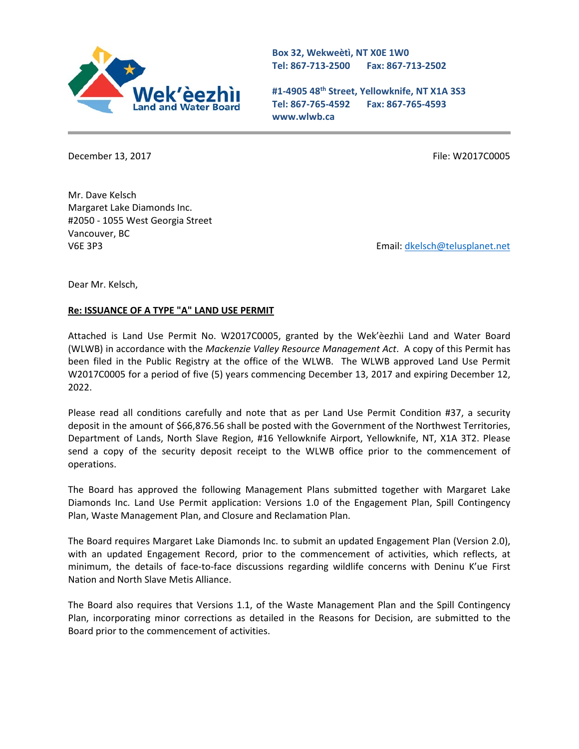

**Box 32, Wekweètì, NT X0E 1W0 Tel: 867-713-2500 Fax: 867-713-2502** 

**#1-4905 48th Street, Yellowknife, NT X1A 3S3 Tel: 867-765-4592 Fax: 867-765-4593 www.wlwb.ca**

December 13, 2017 **File: W2017C0005** 

Mr. Dave Kelsch Margaret Lake Diamonds Inc. #2050 - 1055 West Georgia Street Vancouver, BC V6E 3P3 Email: [dkelsch@telusplanet.net](mailto:dkelsch@telusplanet.net)

Dear Mr. Kelsch,

#### **Re: ISSUANCE OF A TYPE "A" LAND USE PERMIT**

Attached is Land Use Permit No. W2017C0005, granted by the Wek'èezhìi Land and Water Board (WLWB) in accordance with the *Mackenzie Valley Resource Management Act*. A copy of this Permit has been filed in the Public Registry at the office of the WLWB. The WLWB approved Land Use Permit W2017C0005 for a period of five (5) years commencing December 13, 2017 and expiring December 12, 2022.

Please read all conditions carefully and note that as per Land Use Permit Condition #37, a security deposit in the amount of \$66,876.56 shall be posted with the Government of the Northwest Territories, Department of Lands, North Slave Region, #16 Yellowknife Airport, Yellowknife, NT, X1A 3T2. Please send a copy of the security deposit receipt to the WLWB office prior to the commencement of operations.

The Board has approved the following Management Plans submitted together with Margaret Lake Diamonds Inc. Land Use Permit application: Versions 1.0 of the Engagement Plan, Spill Contingency Plan, Waste Management Plan, and Closure and Reclamation Plan.

The Board requires Margaret Lake Diamonds Inc. to submit an updated Engagement Plan (Version 2.0), with an updated Engagement Record, prior to the commencement of activities, which reflects, at minimum, the details of face-to-face discussions regarding wildlife concerns with Deninu K'ue First Nation and North Slave Metis Alliance.

The Board also requires that Versions 1.1, of the Waste Management Plan and the Spill Contingency Plan, incorporating minor corrections as detailed in the Reasons for Decision, are submitted to the Board prior to the commencement of activities.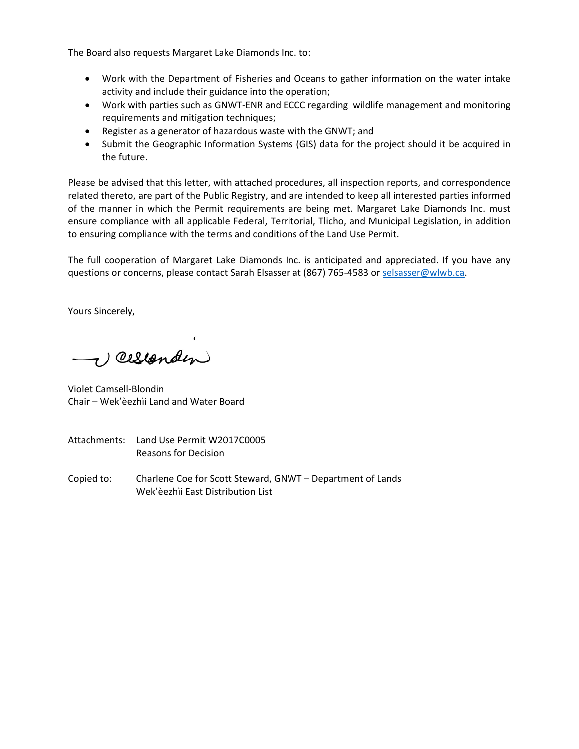The Board also requests Margaret Lake Diamonds Inc. to:

- Work with the Department of Fisheries and Oceans to gather information on the water intake activity and include their guidance into the operation;
- Work with parties such as GNWT-ENR and ECCC regarding wildlife management and monitoring requirements and mitigation techniques;
- Register as a generator of hazardous waste with the GNWT; and
- Submit the Geographic Information Systems (GIS) data for the project should it be acquired in the future.

Please be advised that this letter, with attached procedures, all inspection reports, and correspondence related thereto, are part of the Public Registry, and are intended to keep all interested parties informed of the manner in which the Permit requirements are being met. Margaret Lake Diamonds Inc. must ensure compliance with all applicable Federal, Territorial, Tlicho, and Municipal Legislation, in addition to ensuring compliance with the terms and conditions of the Land Use Permit.

The full cooperation of Margaret Lake Diamonds Inc. is anticipated and appreciated. If you have any questions or concerns, please contact Sarah Elsasser at (867) 765-4583 o[r selsasser@wlwb.ca.](mailto:selsasser@wlwb.ca)

Yours Sincerely,

Veeslanden

Violet Camsell-Blondin Chair – Wek'èezhìi Land and Water Board

- Attachments: Land Use Permit W2017C0005 Reasons for Decision
- Copied to: Charlene Coe for Scott Steward, GNWT Department of Lands Wek'èezhìi East Distribution List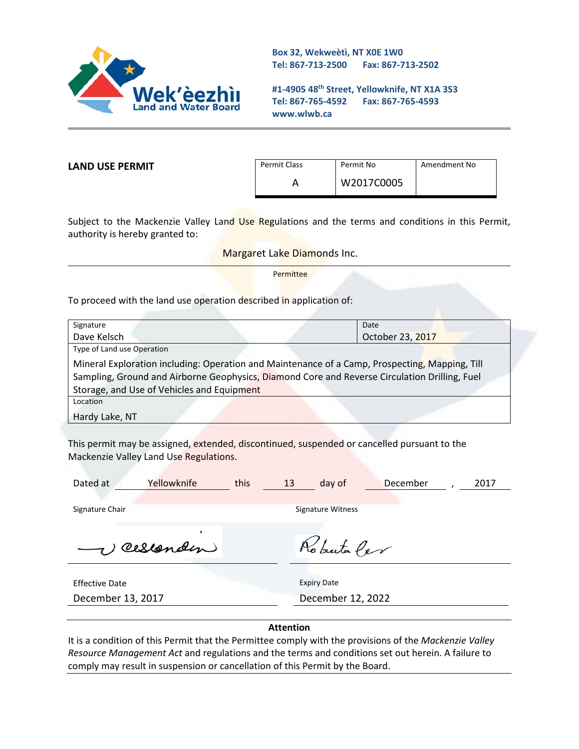

**Box 32, Wekweètì, NT X0E 1W0 Tel: 867-713-2500 Fax: 867-713-2502** 

**#1-4905 48th Street, Yellowknife, NT X1A 3S3 Tel: 867-765-4592 Fax: 867-765-4593 www.wlwb.ca**

**LAND USE PERMIT**

| <b>Permit Class</b> | Permit No  | Amendment No |
|---------------------|------------|--------------|
|                     | W2017C0005 |              |

Subject to the Mackenzie Valley Land Use Regulations and the terms and conditions in this Permit, authority is hereby granted to:

Margaret Lake Diamonds Inc.

Permittee

To proceed with the land use operation described in application of:

| Signature                                                                                      | Date             |
|------------------------------------------------------------------------------------------------|------------------|
| Dave Kelsch                                                                                    | October 23, 2017 |
| Type of Land use Operation                                                                     |                  |
| Mineral Exploration including: Operation and Maintenance of a Camp, Prospecting, Mapping, Till |                  |
| Sampling, Ground and Airborne Geophysics, Diamond Core and Reverse Circulation Drilling, Fuel  |                  |
| Storage, and Use of Vehicles and Equipment                                                     |                  |
| Location                                                                                       |                  |
| Hardy Lake, NT                                                                                 |                  |

This permit may be assigned, extended, discontinued, suspended or cancelled pursuant to the Mackenzie Valley Land Use Regulations.

| Dated at              | Yellowknife  | this | 13 | day of             | December | 2017 |
|-----------------------|--------------|------|----|--------------------|----------|------|
|                       |              |      |    |                    |          |      |
| Signature Chair       |              |      |    | Signature Witness  |          |      |
|                       | ٠            |      |    |                    |          |      |
|                       | ) cesionalen |      |    | Roberta Cer        |          |      |
|                       |              |      |    |                    |          |      |
| <b>Effective Date</b> |              |      |    | <b>Expiry Date</b> |          |      |
| December 13, 2017     |              |      |    | December 12, 2022  |          |      |

#### **Attention**

It is a condition of this Permit that the Permittee comply with the provisions of the *Mackenzie Valley Resource Management Act* and regulations and the terms and conditions set out herein. A failure to comply may result in suspension or cancellation of this Permit by the Board.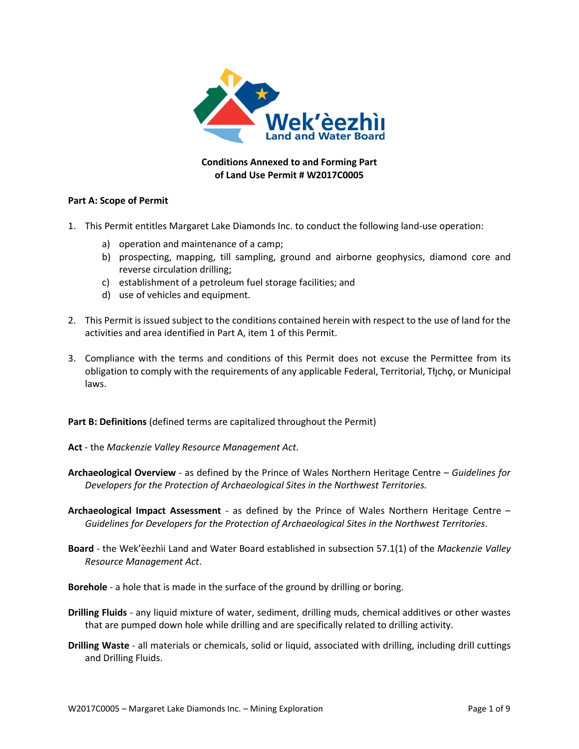

### **Conditions Annexed to and Forming Part of Land Use Permit # W2017C0005**

#### **Part A: Scope of Permit**

- 1. This Permit entitles Margaret Lake Diamonds Inc. to conduct the following land-use operation:
	- a) operation and maintenance of a camp;
	- b) prospecting, mapping, till sampling, ground and airborne geophysics, diamond core and reverse circulation drilling;
	- c) establishment of a petroleum fuel storage facilities; and
	- d) use of vehicles and equipment.
- 2. This Permit is issued subject to the conditions contained herein with respect to the use of land for the activities and area identified in Part A, item 1 of this Permit.
- 3. Compliance with the terms and conditions of this Permit does not excuse the Permittee from its obligation to comply with the requirements of any applicable Federal, Territorial, Tłıcho, or Municipal laws.

**Part B: Definitions** (defined terms are capitalized throughout the Permit)

- **Act** the *Mackenzie Valley Resource Management Act*.
- **Archaeological Overview**  as defined by the Prince of Wales Northern Heritage Centre *Guidelines for Developers for the Protection of Archaeological Sites in the Northwest Territories.*
- **Archaeological Impact Assessment** as defined by the Prince of Wales Northern Heritage Centre *Guidelines for Developers for the Protection of Archaeological Sites in the Northwest Territories*.
- **Board** the Wek'èezhìi Land and Water Board established in subsection 57.1(1) of the *Mackenzie Valley Resource Management Act*.

**Borehole** - a hole that is made in the surface of the ground by drilling or boring.

- **Drilling Fluids**  any liquid mixture of water, sediment, drilling muds, chemical additives or other wastes that are pumped down hole while drilling and are specifically related to drilling activity.
- **Drilling Waste** all materials or chemicals, solid or liquid, associated with drilling, including drill cuttings and Drilling Fluids.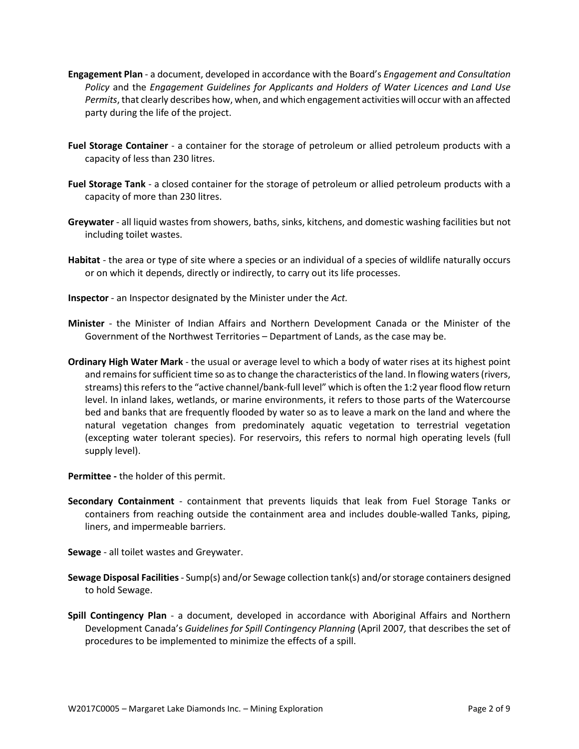- **Engagement Plan**  a document, developed in accordance with the Board's *Engagement and Consultation Policy* and the *Engagement Guidelines for Applicants and Holders of Water Licences and Land Use Permits*, that clearly describes how, when, and which engagement activities will occur with an affected party during the life of the project.
- **Fuel Storage Container** a container for the storage of petroleum or allied petroleum products with a capacity of less than 230 litres.
- **Fuel Storage Tank**  a closed container for the storage of petroleum or allied petroleum products with a capacity of more than 230 litres.
- **Greywater** all liquid wastes from showers, baths, sinks, kitchens, and domestic washing facilities but not including toilet wastes.
- **Habitat** the area or type of site where a species or an individual of a species of wildlife naturally occurs or on which it depends, directly or indirectly, to carry out its life processes.
- **Inspector**  an Inspector designated by the Minister under the *Act.*
- **Minister** the Minister of Indian Affairs and Northern Development Canada or the Minister of the Government of the Northwest Territories – Department of Lands, as the case may be.
- **Ordinary High Water Mark**  the usual or average level to which a body of water rises at its highest point and remains for sufficient time so as to change the characteristics of the land. In flowing waters (rivers, streams) this refers to the "active channel/bank-full level" which is often the 1:2 year flood flow return level. In inland lakes, wetlands, or marine environments, it refers to those parts of the Watercourse bed and banks that are frequently flooded by water so as to leave a mark on the land and where the natural vegetation changes from predominately aquatic vegetation to terrestrial vegetation (excepting water tolerant species). For reservoirs, this refers to normal high operating levels (full supply level).
- **Permittee -** the holder of this permit.
- **Secondary Containment** containment that prevents liquids that leak from Fuel Storage Tanks or containers from reaching outside the containment area and includes double-walled Tanks, piping, liners, and impermeable barriers.
- **Sewage** all toilet wastes and Greywater.
- **Sewage Disposal Facilities** Sump(s) and/or Sewage collection tank(s) and/or storage containers designed to hold Sewage.
- **Spill Contingency Plan** a document, developed in accordance with Aboriginal Affairs and Northern Development Canada's *Guidelines for Spill Contingency Planning* (April 2007*,* that describes the set of procedures to be implemented to minimize the effects of a spill.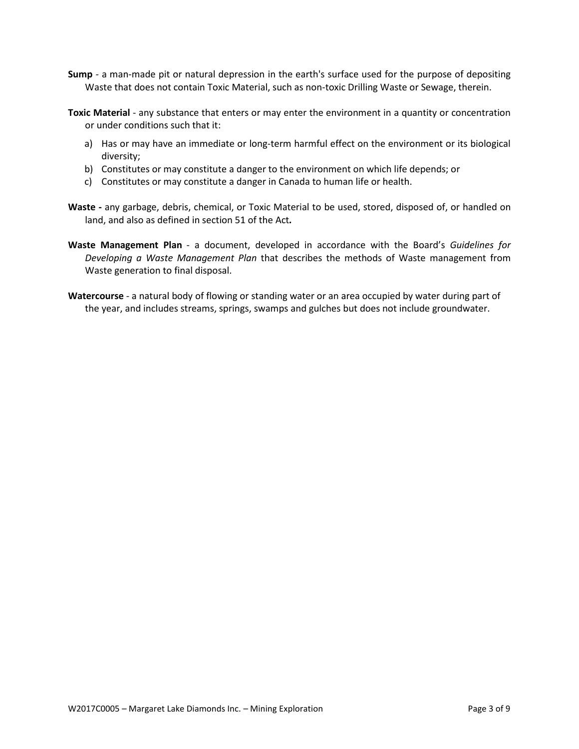- **Sump** a man-made pit or natural depression in the earth's surface used for the purpose of depositing Waste that does not contain Toxic Material, such as non-toxic Drilling Waste or Sewage, therein.
- **Toxic Material**  any substance that enters or may enter the environment in a quantity or concentration or under conditions such that it:
	- a) Has or may have an immediate or long-term harmful effect on the environment or its biological diversity;
	- b) Constitutes or may constitute a danger to the environment on which life depends; or
	- c) Constitutes or may constitute a danger in Canada to human life or health.
- **Waste -** any garbage, debris, chemical, or Toxic Material to be used, stored, disposed of, or handled on land, and also as defined in section 51 of the Act*.*
- **Waste Management Plan** a document, developed in accordance with the Board's *Guidelines for Developing a Waste Management Plan* that describes the methods of Waste management from Waste generation to final disposal.
- **Watercourse** a natural body of flowing or standing water or an area occupied by water during part of the year, and includes streams, springs, swamps and gulches but does not include groundwater.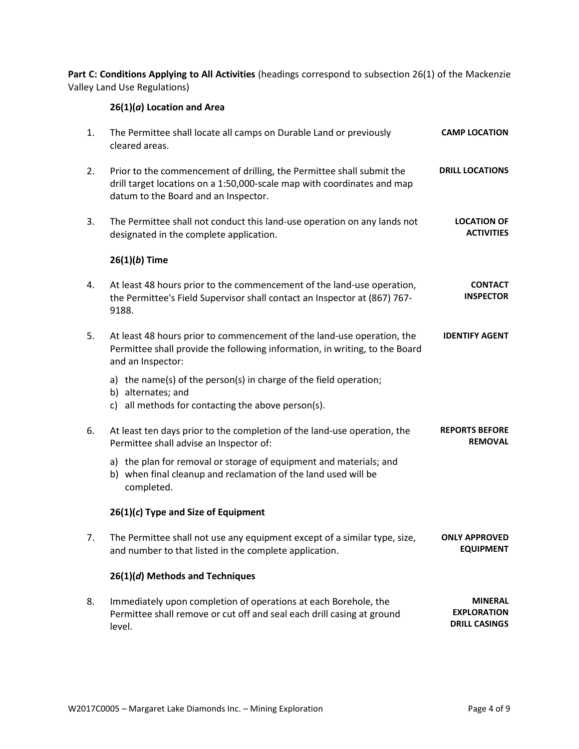Part C: Conditions Applying to All Activities (headings correspond to subsection 26(1) of the Mackenzie Valley Land Use Regulations)

# **26(1)(***a***) Location and Area**

| 1. | The Permittee shall locate all camps on Durable Land or previously<br>cleared areas.                                                                                                     | <b>CAMP LOCATION</b>                                         |
|----|------------------------------------------------------------------------------------------------------------------------------------------------------------------------------------------|--------------------------------------------------------------|
| 2. | Prior to the commencement of drilling, the Permittee shall submit the<br>drill target locations on a 1:50,000-scale map with coordinates and map<br>datum to the Board and an Inspector. | <b>DRILL LOCATIONS</b>                                       |
| 3. | The Permittee shall not conduct this land-use operation on any lands not<br>designated in the complete application.                                                                      | <b>LOCATION OF</b><br><b>ACTIVITIES</b>                      |
|    | $26(1)(b)$ Time                                                                                                                                                                          |                                                              |
| 4. | At least 48 hours prior to the commencement of the land-use operation,<br>the Permittee's Field Supervisor shall contact an Inspector at (867) 767-<br>9188.                             | <b>CONTACT</b><br><b>INSPECTOR</b>                           |
| 5. | At least 48 hours prior to commencement of the land-use operation, the<br>Permittee shall provide the following information, in writing, to the Board<br>and an Inspector:               | <b>IDENTIFY AGENT</b>                                        |
|    | a) the name(s) of the person(s) in charge of the field operation;<br>b) alternates; and<br>c) all methods for contacting the above person(s).                                            |                                                              |
| 6. | At least ten days prior to the completion of the land-use operation, the<br>Permittee shall advise an Inspector of:                                                                      | <b>REPORTS BEFORE</b><br><b>REMOVAL</b>                      |
|    | a) the plan for removal or storage of equipment and materials; and<br>b) when final cleanup and reclamation of the land used will be<br>completed.                                       |                                                              |
|    | $26(1)(c)$ Type and Size of Equipment                                                                                                                                                    |                                                              |
| 7. | The Permittee shall not use any equipment except of a similar type, size,<br>and number to that listed in the complete application.                                                      | <b>ONLY APPROVED</b><br><b>EQUIPMENT</b>                     |
|    | 26(1)(d) Methods and Techniques                                                                                                                                                          |                                                              |
| 8. | Immediately upon completion of operations at each Borehole, the<br>Permittee shall remove or cut off and seal each drill casing at ground<br>level.                                      | <b>MINERAL</b><br><b>EXPLORATION</b><br><b>DRILL CASINGS</b> |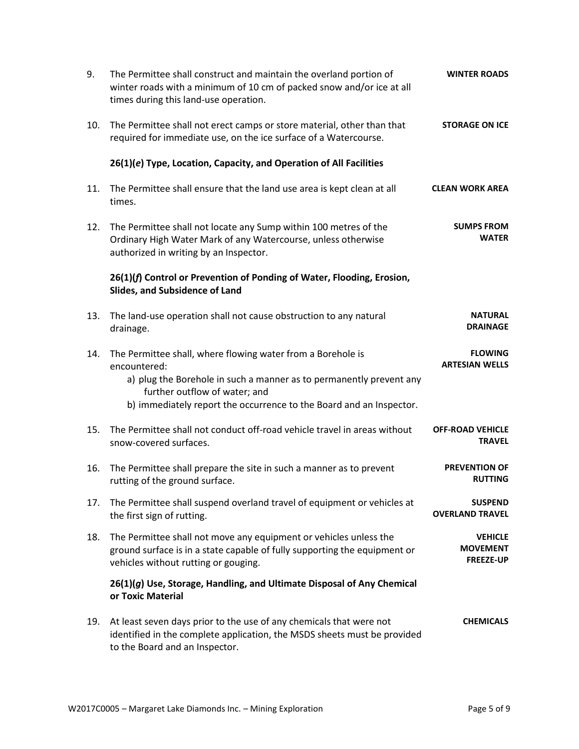| 9.  | The Permittee shall construct and maintain the overland portion of<br>winter roads with a minimum of 10 cm of packed snow and/or ice at all<br>times during this land-use operation.                                                                       | <b>WINTER ROADS</b>                                   |
|-----|------------------------------------------------------------------------------------------------------------------------------------------------------------------------------------------------------------------------------------------------------------|-------------------------------------------------------|
| 10. | The Permittee shall not erect camps or store material, other than that<br>required for immediate use, on the ice surface of a Watercourse.                                                                                                                 | <b>STORAGE ON ICE</b>                                 |
|     | 26(1)(e) Type, Location, Capacity, and Operation of All Facilities                                                                                                                                                                                         |                                                       |
| 11. | The Permittee shall ensure that the land use area is kept clean at all<br>times.                                                                                                                                                                           | <b>CLEAN WORK AREA</b>                                |
| 12. | The Permittee shall not locate any Sump within 100 metres of the<br>Ordinary High Water Mark of any Watercourse, unless otherwise<br>authorized in writing by an Inspector.                                                                                | <b>SUMPS FROM</b><br><b>WATER</b>                     |
|     | 26(1)(f) Control or Prevention of Ponding of Water, Flooding, Erosion,<br>Slides, and Subsidence of Land                                                                                                                                                   |                                                       |
| 13. | The land-use operation shall not cause obstruction to any natural<br>drainage.                                                                                                                                                                             | <b>NATURAL</b><br><b>DRAINAGE</b>                     |
| 14. | The Permittee shall, where flowing water from a Borehole is<br>encountered:<br>a) plug the Borehole in such a manner as to permanently prevent any<br>further outflow of water; and<br>b) immediately report the occurrence to the Board and an Inspector. | <b>FLOWING</b><br><b>ARTESIAN WELLS</b>               |
| 15. | The Permittee shall not conduct off-road vehicle travel in areas without<br>snow-covered surfaces.                                                                                                                                                         | <b>OFF-ROAD VEHICLE</b><br><b>TRAVEL</b>              |
| 16. | The Permittee shall prepare the site in such a manner as to prevent<br>rutting of the ground surface.                                                                                                                                                      | <b>PREVENTION OF</b><br><b>RUTTING</b>                |
| 17. | The Permittee shall suspend overland travel of equipment or vehicles at<br>the first sign of rutting.                                                                                                                                                      | <b>SUSPEND</b><br><b>OVERLAND TRAVEL</b>              |
| 18. | The Permittee shall not move any equipment or vehicles unless the<br>ground surface is in a state capable of fully supporting the equipment or<br>vehicles without rutting or gouging.                                                                     | <b>VEHICLE</b><br><b>MOVEMENT</b><br><b>FREEZE-UP</b> |
|     | 26(1)(g) Use, Storage, Handling, and Ultimate Disposal of Any Chemical<br>or Toxic Material                                                                                                                                                                |                                                       |
| 19. | At least seven days prior to the use of any chemicals that were not<br>identified in the complete application, the MSDS sheets must be provided<br>to the Board and an Inspector.                                                                          | <b>CHEMICALS</b>                                      |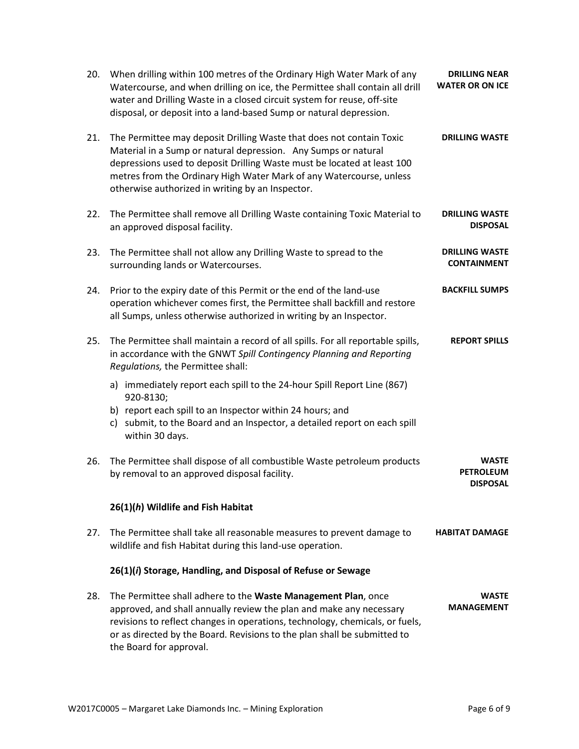| 20. | When drilling within 100 metres of the Ordinary High Water Mark of any<br>Watercourse, and when drilling on ice, the Permittee shall contain all drill<br>water and Drilling Waste in a closed circuit system for reuse, off-site<br>disposal, or deposit into a land-based Sump or natural depression.                                      | <b>DRILLING NEAR</b><br><b>WATER OR ON ICE</b>      |
|-----|----------------------------------------------------------------------------------------------------------------------------------------------------------------------------------------------------------------------------------------------------------------------------------------------------------------------------------------------|-----------------------------------------------------|
| 21. | The Permittee may deposit Drilling Waste that does not contain Toxic<br>Material in a Sump or natural depression. Any Sumps or natural<br>depressions used to deposit Drilling Waste must be located at least 100<br>metres from the Ordinary High Water Mark of any Watercourse, unless<br>otherwise authorized in writing by an Inspector. | <b>DRILLING WASTE</b>                               |
| 22. | The Permittee shall remove all Drilling Waste containing Toxic Material to<br>an approved disposal facility.                                                                                                                                                                                                                                 | <b>DRILLING WASTE</b><br><b>DISPOSAL</b>            |
| 23. | The Permittee shall not allow any Drilling Waste to spread to the<br>surrounding lands or Watercourses.                                                                                                                                                                                                                                      | <b>DRILLING WASTE</b><br><b>CONTAINMENT</b>         |
| 24. | Prior to the expiry date of this Permit or the end of the land-use<br>operation whichever comes first, the Permittee shall backfill and restore<br>all Sumps, unless otherwise authorized in writing by an Inspector.                                                                                                                        | <b>BACKFILL SUMPS</b>                               |
| 25. | The Permittee shall maintain a record of all spills. For all reportable spills,<br>in accordance with the GNWT Spill Contingency Planning and Reporting<br>Regulations, the Permittee shall:                                                                                                                                                 | <b>REPORT SPILLS</b>                                |
|     | a) immediately report each spill to the 24-hour Spill Report Line (867)<br>920-8130;<br>b) report each spill to an Inspector within 24 hours; and<br>c) submit, to the Board and an Inspector, a detailed report on each spill<br>within 30 days.                                                                                            |                                                     |
| 26. | The Permittee shall dispose of all combustible Waste petroleum products<br>by removal to an approved disposal facility.                                                                                                                                                                                                                      | <b>WASTE</b><br><b>PETROLEUM</b><br><b>DISPOSAL</b> |
|     | 26(1)(h) Wildlife and Fish Habitat                                                                                                                                                                                                                                                                                                           |                                                     |
| 27. | The Permittee shall take all reasonable measures to prevent damage to<br>wildlife and fish Habitat during this land-use operation.                                                                                                                                                                                                           | <b>HABITAT DAMAGE</b>                               |
|     | 26(1)(i) Storage, Handling, and Disposal of Refuse or Sewage                                                                                                                                                                                                                                                                                 |                                                     |
| 28. | The Permittee shall adhere to the Waste Management Plan, once<br>approved, and shall annually review the plan and make any necessary<br>revisions to reflect changes in operations, technology, chemicals, or fuels,<br>or as directed by the Board. Revisions to the plan shall be submitted to<br>the Board for approval.                  | <b>WASTE</b><br><b>MANAGEMENT</b>                   |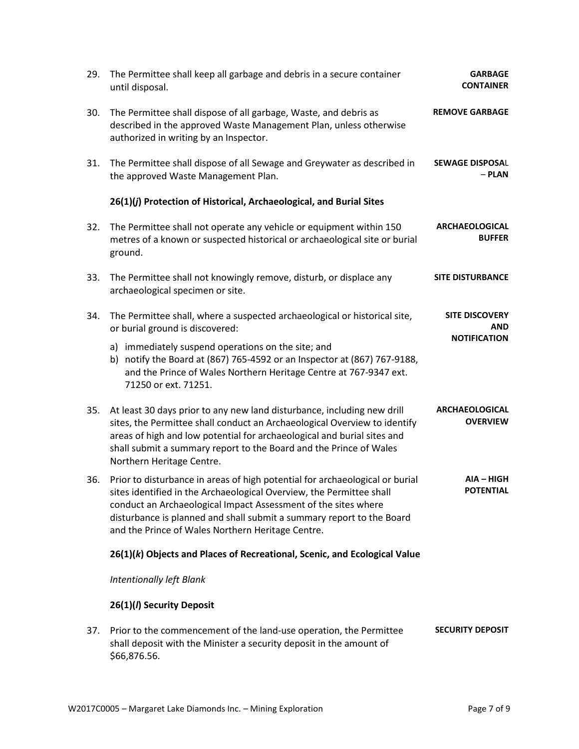| 29. | The Permittee shall keep all garbage and debris in a secure container<br>until disposal.                                                                                                                                                                                                                                                             | <b>GARBAGE</b><br><b>CONTAINER</b>       |
|-----|------------------------------------------------------------------------------------------------------------------------------------------------------------------------------------------------------------------------------------------------------------------------------------------------------------------------------------------------------|------------------------------------------|
| 30. | The Permittee shall dispose of all garbage, Waste, and debris as<br>described in the approved Waste Management Plan, unless otherwise<br>authorized in writing by an Inspector.                                                                                                                                                                      | <b>REMOVE GARBAGE</b>                    |
| 31. | The Permittee shall dispose of all Sewage and Greywater as described in<br>the approved Waste Management Plan.                                                                                                                                                                                                                                       | <b>SEWAGE DISPOSAL</b><br>$-$ PLAN       |
|     | 26(1)(j) Protection of Historical, Archaeological, and Burial Sites                                                                                                                                                                                                                                                                                  |                                          |
| 32. | The Permittee shall not operate any vehicle or equipment within 150<br>metres of a known or suspected historical or archaeological site or burial<br>ground.                                                                                                                                                                                         | <b>ARCHAEOLOGICAL</b><br><b>BUFFER</b>   |
| 33. | The Permittee shall not knowingly remove, disturb, or displace any<br>archaeological specimen or site.                                                                                                                                                                                                                                               | <b>SITE DISTURBANCE</b>                  |
| 34. | The Permittee shall, where a suspected archaeological or historical site,<br>or burial ground is discovered:                                                                                                                                                                                                                                         | <b>SITE DISCOVERY</b><br><b>AND</b>      |
|     | a) immediately suspend operations on the site; and<br>b) notify the Board at (867) 765-4592 or an Inspector at (867) 767-9188,<br>and the Prince of Wales Northern Heritage Centre at 767-9347 ext.<br>71250 or ext. 71251.                                                                                                                          | <b>NOTIFICATION</b>                      |
| 35. | At least 30 days prior to any new land disturbance, including new drill<br>sites, the Permittee shall conduct an Archaeological Overview to identify<br>areas of high and low potential for archaeological and burial sites and<br>shall submit a summary report to the Board and the Prince of Wales<br>Northern Heritage Centre.                   | <b>ARCHAEOLOGICAL</b><br><b>OVERVIEW</b> |
| 36. | Prior to disturbance in areas of high potential for archaeological or burial<br>sites identified in the Archaeological Overview, the Permittee shall<br>conduct an Archaeological Impact Assessment of the sites where<br>disturbance is planned and shall submit a summary report to the Board<br>and the Prince of Wales Northern Heritage Centre. | AIA - HIGH<br><b>POTENTIAL</b>           |
|     | 26(1)(k) Objects and Places of Recreational, Scenic, and Ecological Value                                                                                                                                                                                                                                                                            |                                          |
|     | <b>Intentionally left Blank</b>                                                                                                                                                                                                                                                                                                                      |                                          |
|     | 26(1)(/) Security Deposit                                                                                                                                                                                                                                                                                                                            |                                          |
| 37. | Prior to the commencement of the land-use operation, the Permittee<br>shall deposit with the Minister a security deposit in the amount of<br>\$66,876.56.                                                                                                                                                                                            | <b>SECURITY DEPOSIT</b>                  |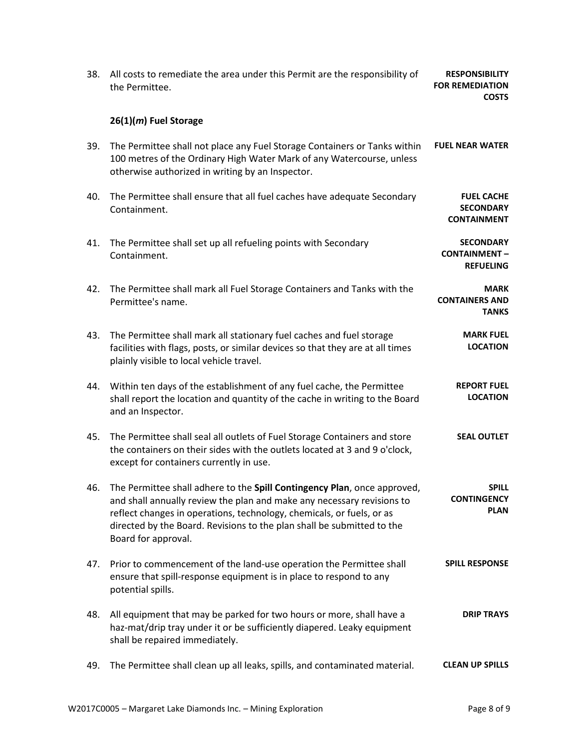| 38. | All costs to remediate the area under this Permit are the responsibility of<br>the Permittee.                                                                                                                                                                                                                                | <b>RESPONSIBILITY</b><br><b>FOR REMEDIATION</b><br><b>COSTS</b> |
|-----|------------------------------------------------------------------------------------------------------------------------------------------------------------------------------------------------------------------------------------------------------------------------------------------------------------------------------|-----------------------------------------------------------------|
|     | 26(1)(m) Fuel Storage                                                                                                                                                                                                                                                                                                        |                                                                 |
| 39. | The Permittee shall not place any Fuel Storage Containers or Tanks within<br>100 metres of the Ordinary High Water Mark of any Watercourse, unless<br>otherwise authorized in writing by an Inspector.                                                                                                                       | <b>FUEL NEAR WATER</b>                                          |
| 40. | The Permittee shall ensure that all fuel caches have adequate Secondary<br>Containment.                                                                                                                                                                                                                                      | <b>FUEL CACHE</b><br><b>SECONDARY</b><br><b>CONTAINMENT</b>     |
| 41. | The Permittee shall set up all refueling points with Secondary<br>Containment.                                                                                                                                                                                                                                               | <b>SECONDARY</b><br><b>CONTAINMENT-</b><br><b>REFUELING</b>     |
| 42. | The Permittee shall mark all Fuel Storage Containers and Tanks with the<br>Permittee's name.                                                                                                                                                                                                                                 | <b>MARK</b><br><b>CONTAINERS AND</b><br><b>TANKS</b>            |
| 43. | The Permittee shall mark all stationary fuel caches and fuel storage<br>facilities with flags, posts, or similar devices so that they are at all times<br>plainly visible to local vehicle travel.                                                                                                                           | <b>MARK FUEL</b><br><b>LOCATION</b>                             |
| 44. | Within ten days of the establishment of any fuel cache, the Permittee<br>shall report the location and quantity of the cache in writing to the Board<br>and an Inspector.                                                                                                                                                    | <b>REPORT FUEL</b><br><b>LOCATION</b>                           |
| 45. | The Permittee shall seal all outlets of Fuel Storage Containers and store<br>the containers on their sides with the outlets located at 3 and 9 o'clock,<br>except for containers currently in use.                                                                                                                           | <b>SEAL OUTLET</b>                                              |
| 46. | The Permittee shall adhere to the Spill Contingency Plan, once approved,<br>and shall annually review the plan and make any necessary revisions to<br>reflect changes in operations, technology, chemicals, or fuels, or as<br>directed by the Board. Revisions to the plan shall be submitted to the<br>Board for approval. | <b>SPILL</b><br><b>CONTINGENCY</b><br><b>PLAN</b>               |
| 47. | Prior to commencement of the land-use operation the Permittee shall<br>ensure that spill-response equipment is in place to respond to any<br>potential spills.                                                                                                                                                               | <b>SPILL RESPONSE</b>                                           |
| 48. | All equipment that may be parked for two hours or more, shall have a<br>haz-mat/drip tray under it or be sufficiently diapered. Leaky equipment<br>shall be repaired immediately.                                                                                                                                            | <b>DRIP TRAYS</b>                                               |
| 49. | The Permittee shall clean up all leaks, spills, and contaminated material.                                                                                                                                                                                                                                                   | <b>CLEAN UP SPILLS</b>                                          |